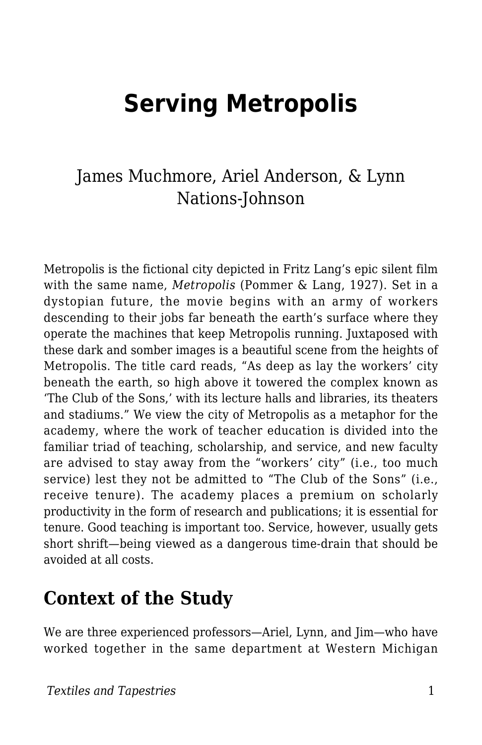# **Serving Metropolis**

### James Muchmore, Ariel Anderson, & Lynn Nations-Johnson

Metropolis is the fictional city depicted in Fritz Lang's epic silent film with the same name, *Metropolis* (Pommer & Lang, 1927). Set in a dystopian future, the movie begins with an army of workers descending to their jobs far beneath the earth's surface where they operate the machines that keep Metropolis running. Juxtaposed with these dark and somber images is a beautiful scene from the heights of Metropolis. The title card reads, "As deep as lay the workers' city beneath the earth, so high above it towered the complex known as 'The Club of the Sons,' with its lecture halls and libraries, its theaters and stadiums." We view the city of Metropolis as a metaphor for the academy, where the work of teacher education is divided into the familiar triad of teaching, scholarship, and service, and new faculty are advised to stay away from the "workers' city" (i.e., too much service) lest they not be admitted to "The Club of the Sons" (i.e., receive tenure). The academy places a premium on scholarly productivity in the form of research and publications; it is essential for tenure. Good teaching is important too. Service, however, usually gets short shrift—being viewed as a dangerous time-drain that should be avoided at all costs.

### **Context of the Study**

We are three experienced professors—Ariel, Lynn, and Jim—who have worked together in the same department at Western Michigan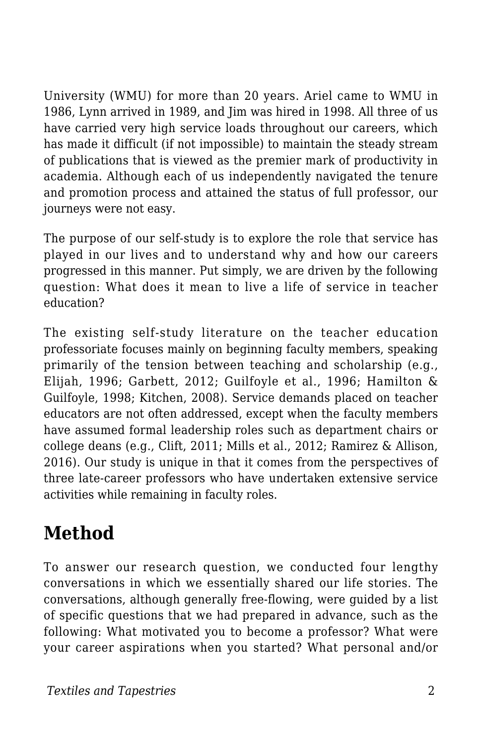University (WMU) for more than 20 years. Ariel came to WMU in 1986, Lynn arrived in 1989, and Jim was hired in 1998. All three of us have carried very high service loads throughout our careers, which has made it difficult (if not impossible) to maintain the steady stream of publications that is viewed as the premier mark of productivity in academia. Although each of us independently navigated the tenure and promotion process and attained the status of full professor, our journeys were not easy.

The purpose of our self-study is to explore the role that service has played in our lives and to understand why and how our careers progressed in this manner. Put simply, we are driven by the following question: What does it mean to live a life of service in teacher education?

The existing self-study literature on the teacher education professoriate focuses mainly on beginning faculty members, speaking primarily of the tension between teaching and scholarship (e.g., Elijah, 1996; Garbett, 2012; Guilfoyle et al., 1996; Hamilton & Guilfoyle, 1998; Kitchen, 2008). Service demands placed on teacher educators are not often addressed, except when the faculty members have assumed formal leadership roles such as department chairs or college deans (e.g., Clift, 2011; Mills et al., 2012; Ramirez & Allison, 2016). Our study is unique in that it comes from the perspectives of three late-career professors who have undertaken extensive service activities while remaining in faculty roles.

## **Method**

To answer our research question, we conducted four lengthy conversations in which we essentially shared our life stories. The conversations, although generally free-flowing, were guided by a list of specific questions that we had prepared in advance, such as the following: What motivated you to become a professor? What were your career aspirations when you started? What personal and/or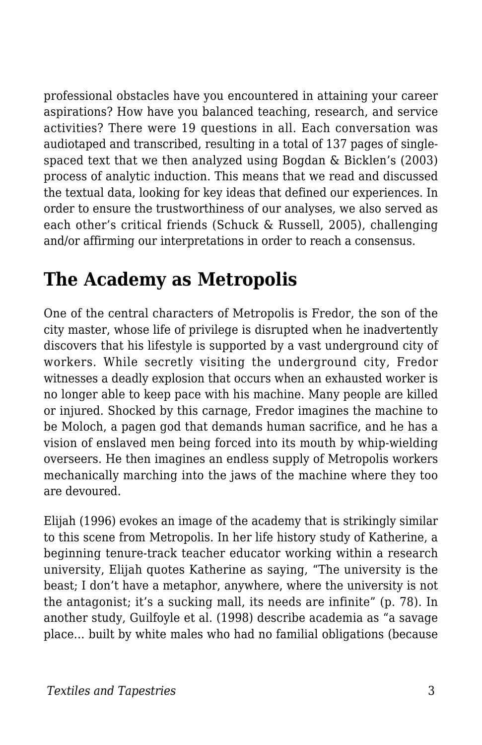professional obstacles have you encountered in attaining your career aspirations? How have you balanced teaching, research, and service activities? There were 19 questions in all. Each conversation was audiotaped and transcribed, resulting in a total of 137 pages of singlespaced text that we then analyzed using Bogdan & Bicklen's (2003) process of analytic induction. This means that we read and discussed the textual data, looking for key ideas that defined our experiences. In order to ensure the trustworthiness of our analyses, we also served as each other's critical friends (Schuck & Russell, 2005), challenging and/or affirming our interpretations in order to reach a consensus.

## **The Academy as Metropolis**

One of the central characters of Metropolis is Fredor, the son of the city master, whose life of privilege is disrupted when he inadvertently discovers that his lifestyle is supported by a vast underground city of workers. While secretly visiting the underground city, Fredor witnesses a deadly explosion that occurs when an exhausted worker is no longer able to keep pace with his machine. Many people are killed or injured. Shocked by this carnage, Fredor imagines the machine to be Moloch, a pagen god that demands human sacrifice, and he has a vision of enslaved men being forced into its mouth by whip-wielding overseers. He then imagines an endless supply of Metropolis workers mechanically marching into the jaws of the machine where they too are devoured.

Elijah (1996) evokes an image of the academy that is strikingly similar to this scene from Metropolis. In her life history study of Katherine, a beginning tenure-track teacher educator working within a research university, Elijah quotes Katherine as saying, "The university is the beast; I don't have a metaphor, anywhere, where the university is not the antagonist; it's a sucking mall, its needs are infinite" (p. 78). In another study, Guilfoyle et al. (1998) describe academia as "a savage place… built by white males who had no familial obligations (because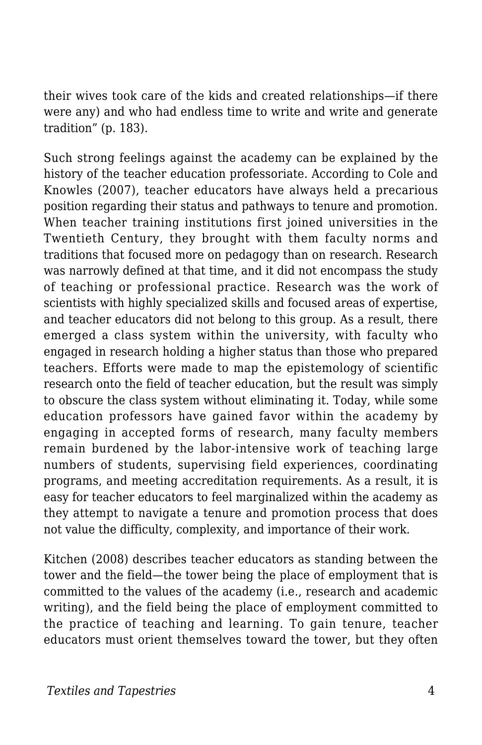their wives took care of the kids and created relationships—if there were any) and who had endless time to write and write and generate tradition" (p. 183).

Such strong feelings against the academy can be explained by the history of the teacher education professoriate. According to Cole and Knowles (2007), teacher educators have always held a precarious position regarding their status and pathways to tenure and promotion. When teacher training institutions first joined universities in the Twentieth Century, they brought with them faculty norms and traditions that focused more on pedagogy than on research. Research was narrowly defined at that time, and it did not encompass the study of teaching or professional practice. Research was the work of scientists with highly specialized skills and focused areas of expertise, and teacher educators did not belong to this group. As a result, there emerged a class system within the university, with faculty who engaged in research holding a higher status than those who prepared teachers. Efforts were made to map the epistemology of scientific research onto the field of teacher education, but the result was simply to obscure the class system without eliminating it. Today, while some education professors have gained favor within the academy by engaging in accepted forms of research, many faculty members remain burdened by the labor-intensive work of teaching large numbers of students, supervising field experiences, coordinating programs, and meeting accreditation requirements. As a result, it is easy for teacher educators to feel marginalized within the academy as they attempt to navigate a tenure and promotion process that does not value the difficulty, complexity, and importance of their work.

Kitchen (2008) describes teacher educators as standing between the tower and the field—the tower being the place of employment that is committed to the values of the academy (i.e., research and academic writing), and the field being the place of employment committed to the practice of teaching and learning. To gain tenure, teacher educators must orient themselves toward the tower, but they often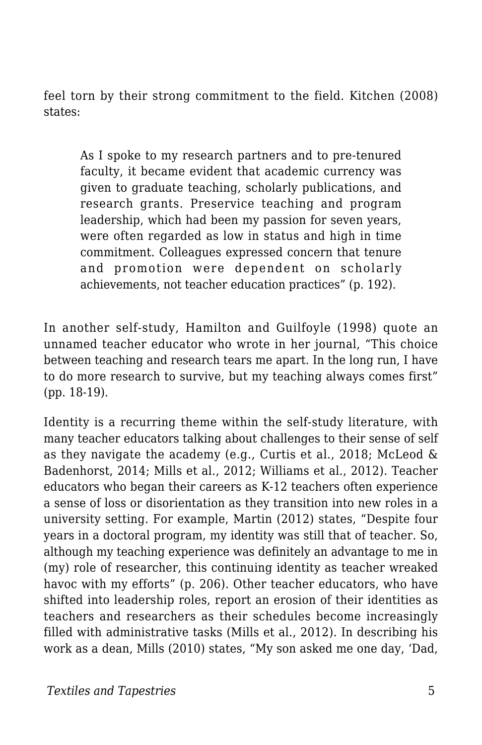feel torn by their strong commitment to the field. Kitchen (2008) states:

As I spoke to my research partners and to pre-tenured faculty, it became evident that academic currency was given to graduate teaching, scholarly publications, and research grants. Preservice teaching and program leadership, which had been my passion for seven years, were often regarded as low in status and high in time commitment. Colleagues expressed concern that tenure and promotion were dependent on scholarly achievements, not teacher education practices" (p. 192).

In another self-study, Hamilton and Guilfoyle (1998) quote an unnamed teacher educator who wrote in her journal, "This choice between teaching and research tears me apart. In the long run, I have to do more research to survive, but my teaching always comes first" (pp. 18-19).

Identity is a recurring theme within the self-study literature, with many teacher educators talking about challenges to their sense of self as they navigate the academy (e.g., Curtis et al., 2018; McLeod & Badenhorst, 2014; Mills et al., 2012; Williams et al., 2012). Teacher educators who began their careers as K-12 teachers often experience a sense of loss or disorientation as they transition into new roles in a university setting. For example, Martin (2012) states, "Despite four years in a doctoral program, my identity was still that of teacher. So, although my teaching experience was definitely an advantage to me in (my) role of researcher, this continuing identity as teacher wreaked havoc with my efforts" (p. 206). Other teacher educators, who have shifted into leadership roles, report an erosion of their identities as teachers and researchers as their schedules become increasingly filled with administrative tasks (Mills et al., 2012). In describing his work as a dean, Mills (2010) states, "My son asked me one day, 'Dad,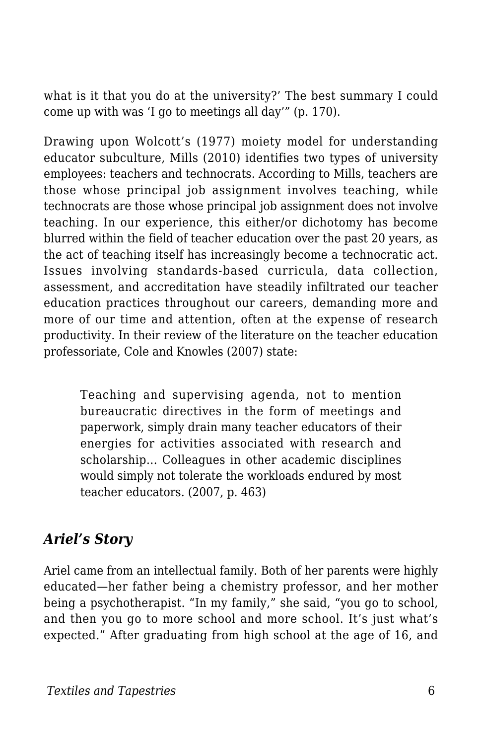what is it that you do at the university?' The best summary I could come up with was 'I go to meetings all day'" (p. 170).

Drawing upon Wolcott's (1977) moiety model for understanding educator subculture, Mills (2010) identifies two types of university employees: teachers and technocrats. According to Mills, teachers are those whose principal job assignment involves teaching, while technocrats are those whose principal job assignment does not involve teaching. In our experience, this either/or dichotomy has become blurred within the field of teacher education over the past 20 years, as the act of teaching itself has increasingly become a technocratic act. Issues involving standards-based curricula, data collection, assessment, and accreditation have steadily infiltrated our teacher education practices throughout our careers, demanding more and more of our time and attention, often at the expense of research productivity. In their review of the literature on the teacher education professoriate, Cole and Knowles (2007) state:

Teaching and supervising agenda, not to mention bureaucratic directives in the form of meetings and paperwork, simply drain many teacher educators of their energies for activities associated with research and scholarship… Colleagues in other academic disciplines would simply not tolerate the workloads endured by most teacher educators. (2007, p. 463)

#### *Ariel's Story*

Ariel came from an intellectual family. Both of her parents were highly educated—her father being a chemistry professor, and her mother being a psychotherapist. "In my family," she said, "you go to school, and then you go to more school and more school. It's just what's expected." After graduating from high school at the age of 16, and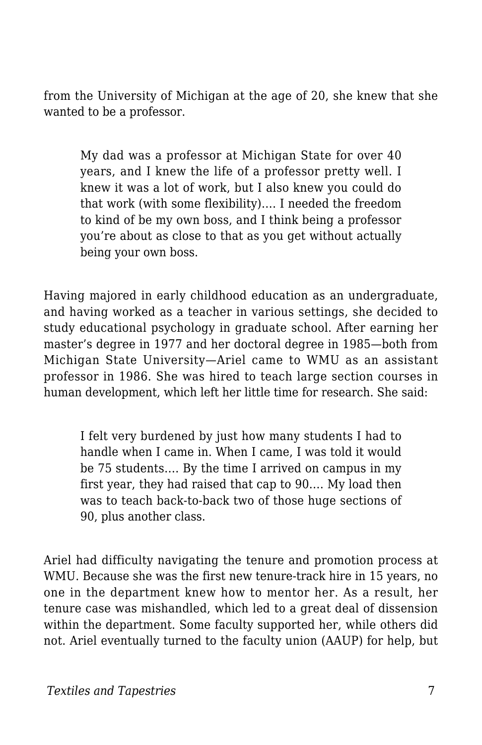from the University of Michigan at the age of 20, she knew that she wanted to be a professor.

My dad was a professor at Michigan State for over 40 years, and I knew the life of a professor pretty well. I knew it was a lot of work, but I also knew you could do that work (with some flexibility)…. I needed the freedom to kind of be my own boss, and I think being a professor you're about as close to that as you get without actually being your own boss.

Having majored in early childhood education as an undergraduate, and having worked as a teacher in various settings, she decided to study educational psychology in graduate school. After earning her master's degree in 1977 and her doctoral degree in 1985—both from Michigan State University—Ariel came to WMU as an assistant professor in 1986. She was hired to teach large section courses in human development, which left her little time for research. She said:

I felt very burdened by just how many students I had to handle when I came in. When I came, I was told it would be 75 students…. By the time I arrived on campus in my first year, they had raised that cap to 90…. My load then was to teach back-to-back two of those huge sections of 90, plus another class.

Ariel had difficulty navigating the tenure and promotion process at WMU. Because she was the first new tenure-track hire in 15 years, no one in the department knew how to mentor her. As a result, her tenure case was mishandled, which led to a great deal of dissension within the department. Some faculty supported her, while others did not. Ariel eventually turned to the faculty union (AAUP) for help, but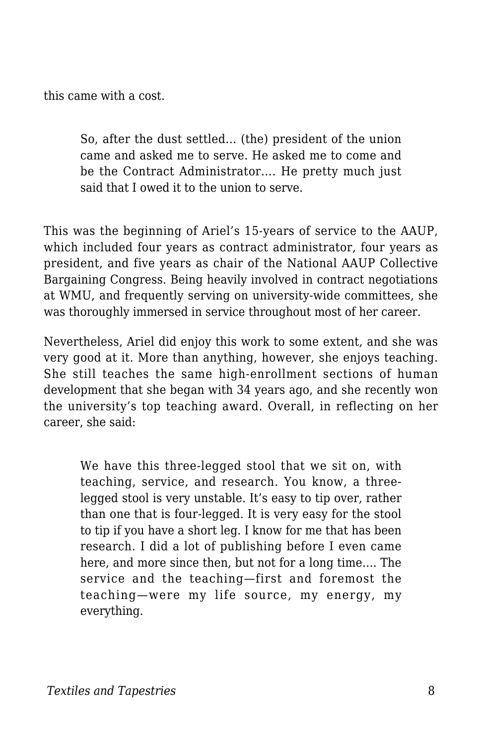this came with a cost.

So, after the dust settled… (the) president of the union came and asked me to serve. He asked me to come and be the Contract Administrator.... He pretty much just said that I owed it to the union to serve.

This was the beginning of Ariel's 15-years of service to the AAUP, which included four years as contract administrator, four years as president, and five years as chair of the National AAUP Collective Bargaining Congress. Being heavily involved in contract negotiations at WMU, and frequently serving on university-wide committees, she was thoroughly immersed in service throughout most of her career.

Nevertheless, Ariel did enjoy this work to some extent, and she was very good at it. More than anything, however, she enjoys teaching. She still teaches the same high-enrollment sections of human development that she began with 34 years ago, and she recently won the university's top teaching award. Overall, in reflecting on her career, she said:

We have this three-legged stool that we sit on, with teaching, service, and research. You know, a threelegged stool is very unstable. It's easy to tip over, rather than one that is four-legged. It is very easy for the stool to tip if you have a short leg. I know for me that has been research. I did a lot of publishing before I even came here, and more since then, but not for a long time…. The service and the teaching—first and foremost the teaching—were my life source, my energy, my everything.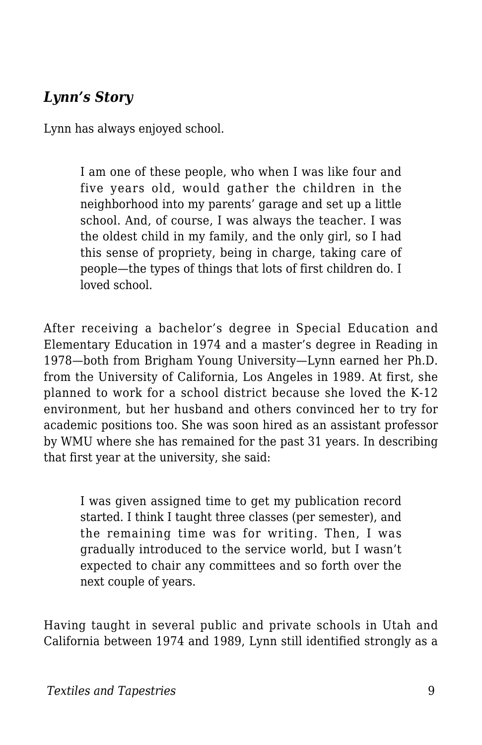#### *Lynn's Story*

Lynn has always enjoyed school.

I am one of these people, who when I was like four and five years old, would gather the children in the neighborhood into my parents' garage and set up a little school. And, of course, I was always the teacher. I was the oldest child in my family, and the only girl, so I had this sense of propriety, being in charge, taking care of people—the types of things that lots of first children do. I loved school.

After receiving a bachelor's degree in Special Education and Elementary Education in 1974 and a master's degree in Reading in 1978—both from Brigham Young University—Lynn earned her Ph.D. from the University of California, Los Angeles in 1989. At first, she planned to work for a school district because she loved the K-12 environment, but her husband and others convinced her to try for academic positions too. She was soon hired as an assistant professor by WMU where she has remained for the past 31 years. In describing that first year at the university, she said:

I was given assigned time to get my publication record started. I think I taught three classes (per semester), and the remaining time was for writing. Then, I was gradually introduced to the service world, but I wasn't expected to chair any committees and so forth over the next couple of years.

Having taught in several public and private schools in Utah and California between 1974 and 1989, Lynn still identified strongly as a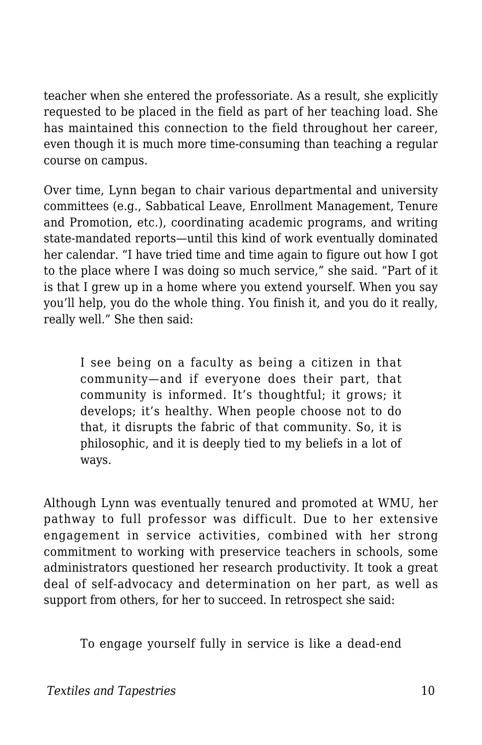teacher when she entered the professoriate. As a result, she explicitly requested to be placed in the field as part of her teaching load. She has maintained this connection to the field throughout her career, even though it is much more time-consuming than teaching a regular course on campus.

Over time, Lynn began to chair various departmental and university committees (e.g., Sabbatical Leave, Enrollment Management, Tenure and Promotion, etc.), coordinating academic programs, and writing state-mandated reports—until this kind of work eventually dominated her calendar. "I have tried time and time again to figure out how I got to the place where I was doing so much service," she said. "Part of it is that I grew up in a home where you extend yourself. When you say you'll help, you do the whole thing. You finish it, and you do it really, really well." She then said:

I see being on a faculty as being a citizen in that community—and if everyone does their part, that community is informed. It's thoughtful; it grows; it develops; it's healthy. When people choose not to do that, it disrupts the fabric of that community. So, it is philosophic, and it is deeply tied to my beliefs in a lot of ways.

Although Lynn was eventually tenured and promoted at WMU, her pathway to full professor was difficult. Due to her extensive engagement in service activities, combined with her strong commitment to working with preservice teachers in schools, some administrators questioned her research productivity. It took a great deal of self-advocacy and determination on her part, as well as support from others, for her to succeed. In retrospect she said:

To engage yourself fully in service is like a dead-end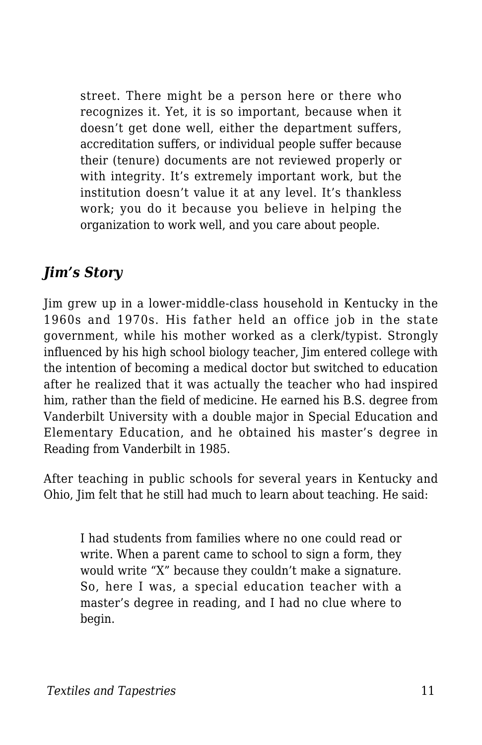street. There might be a person here or there who recognizes it. Yet, it is so important, because when it doesn't get done well, either the department suffers, accreditation suffers, or individual people suffer because their (tenure) documents are not reviewed properly or with integrity. It's extremely important work, but the institution doesn't value it at any level. It's thankless work; you do it because you believe in helping the organization to work well, and you care about people.

#### *Jim's Story*

Jim grew up in a lower-middle-class household in Kentucky in the 1960s and 1970s. His father held an office job in the state government, while his mother worked as a clerk/typist. Strongly influenced by his high school biology teacher, Jim entered college with the intention of becoming a medical doctor but switched to education after he realized that it was actually the teacher who had inspired him, rather than the field of medicine. He earned his B.S. degree from Vanderbilt University with a double major in Special Education and Elementary Education, and he obtained his master's degree in Reading from Vanderbilt in 1985.

After teaching in public schools for several years in Kentucky and Ohio, Jim felt that he still had much to learn about teaching. He said:

I had students from families where no one could read or write. When a parent came to school to sign a form, they would write "X" because they couldn't make a signature. So, here I was, a special education teacher with a master's degree in reading, and I had no clue where to begin.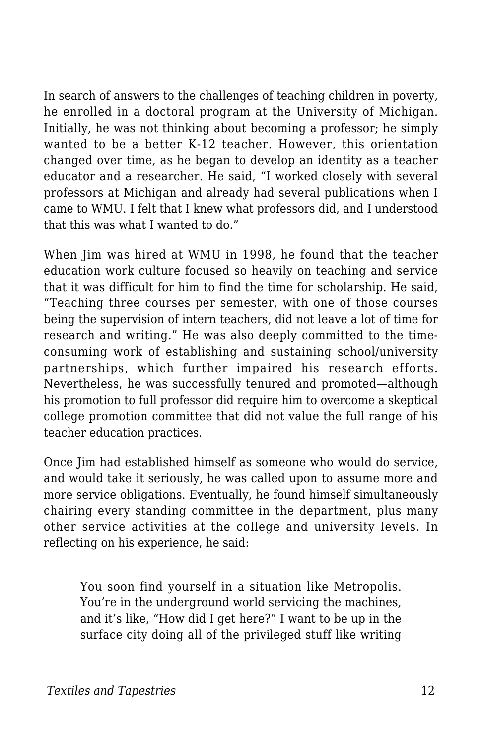In search of answers to the challenges of teaching children in poverty, he enrolled in a doctoral program at the University of Michigan. Initially, he was not thinking about becoming a professor; he simply wanted to be a better K-12 teacher. However, this orientation changed over time, as he began to develop an identity as a teacher educator and a researcher. He said, "I worked closely with several professors at Michigan and already had several publications when I came to WMU. I felt that I knew what professors did, and I understood that this was what I wanted to do."

When Jim was hired at WMU in 1998, he found that the teacher education work culture focused so heavily on teaching and service that it was difficult for him to find the time for scholarship. He said, "Teaching three courses per semester, with one of those courses being the supervision of intern teachers, did not leave a lot of time for research and writing." He was also deeply committed to the timeconsuming work of establishing and sustaining school/university partnerships, which further impaired his research efforts. Nevertheless, he was successfully tenured and promoted—although his promotion to full professor did require him to overcome a skeptical college promotion committee that did not value the full range of his teacher education practices.

Once Jim had established himself as someone who would do service, and would take it seriously, he was called upon to assume more and more service obligations. Eventually, he found himself simultaneously chairing every standing committee in the department, plus many other service activities at the college and university levels. In reflecting on his experience, he said:

You soon find yourself in a situation like Metropolis. You're in the underground world servicing the machines, and it's like, "How did I get here?" I want to be up in the surface city doing all of the privileged stuff like writing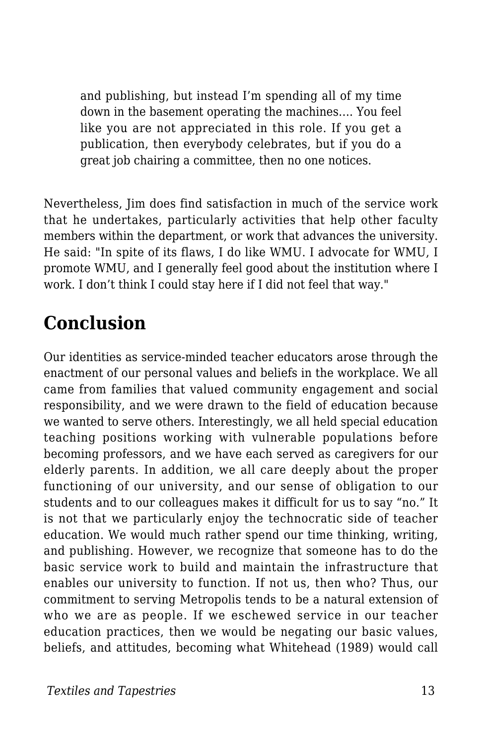and publishing, but instead I'm spending all of my time down in the basement operating the machines…. You feel like you are not appreciated in this role. If you get a publication, then everybody celebrates, but if you do a great job chairing a committee, then no one notices.

Nevertheless, Jim does find satisfaction in much of the service work that he undertakes, particularly activities that help other faculty members within the department, or work that advances the university. He said: "In spite of its flaws, I do like WMU. I advocate for WMU, I promote WMU, and I generally feel good about the institution where I work. I don't think I could stay here if I did not feel that way."

## **Conclusion**

Our identities as service-minded teacher educators arose through the enactment of our personal values and beliefs in the workplace. We all came from families that valued community engagement and social responsibility, and we were drawn to the field of education because we wanted to serve others. Interestingly, we all held special education teaching positions working with vulnerable populations before becoming professors, and we have each served as caregivers for our elderly parents. In addition, we all care deeply about the proper functioning of our university, and our sense of obligation to our students and to our colleagues makes it difficult for us to say "no." It is not that we particularly enjoy the technocratic side of teacher education. We would much rather spend our time thinking, writing, and publishing. However, we recognize that someone has to do the basic service work to build and maintain the infrastructure that enables our university to function. If not us, then who? Thus, our commitment to serving Metropolis tends to be a natural extension of who we are as people. If we eschewed service in our teacher education practices, then we would be negating our basic values, beliefs, and attitudes, becoming what Whitehead (1989) would call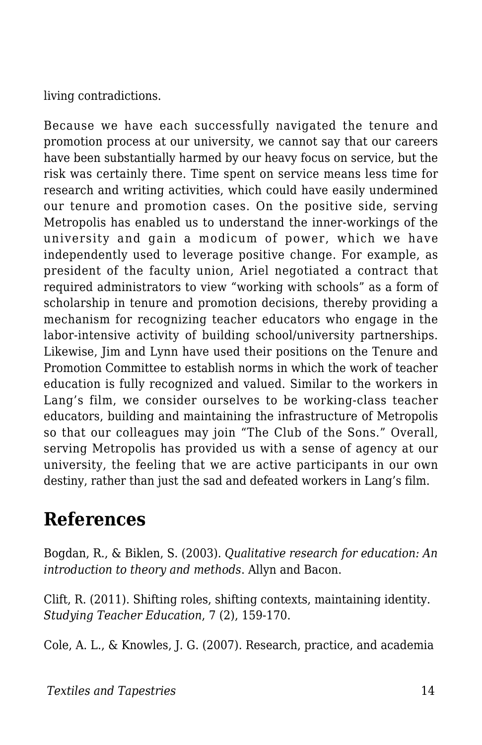living contradictions.

Because we have each successfully navigated the tenure and promotion process at our university, we cannot say that our careers have been substantially harmed by our heavy focus on service, but the risk was certainly there. Time spent on service means less time for research and writing activities, which could have easily undermined our tenure and promotion cases. On the positive side, serving Metropolis has enabled us to understand the inner-workings of the university and gain a modicum of power, which we have independently used to leverage positive change. For example, as president of the faculty union, Ariel negotiated a contract that required administrators to view "working with schools" as a form of scholarship in tenure and promotion decisions, thereby providing a mechanism for recognizing teacher educators who engage in the labor-intensive activity of building school/university partnerships. Likewise, Jim and Lynn have used their positions on the Tenure and Promotion Committee to establish norms in which the work of teacher education is fully recognized and valued. Similar to the workers in Lang's film, we consider ourselves to be working-class teacher educators, building and maintaining the infrastructure of Metropolis so that our colleagues may join "The Club of the Sons." Overall, serving Metropolis has provided us with a sense of agency at our university, the feeling that we are active participants in our own destiny, rather than just the sad and defeated workers in Lang's film.

### **References**

Bogdan, R., & Biklen, S. (2003). *Qualitative research for education: An introduction to theory and methods*. Allyn and Bacon.

Clift, R. (2011). Shifting roles, shifting contexts, maintaining identity. *Studying Teacher Education*, 7 (2), 159-170.

Cole, A. L., & Knowles, J. G. (2007). Research, practice, and academia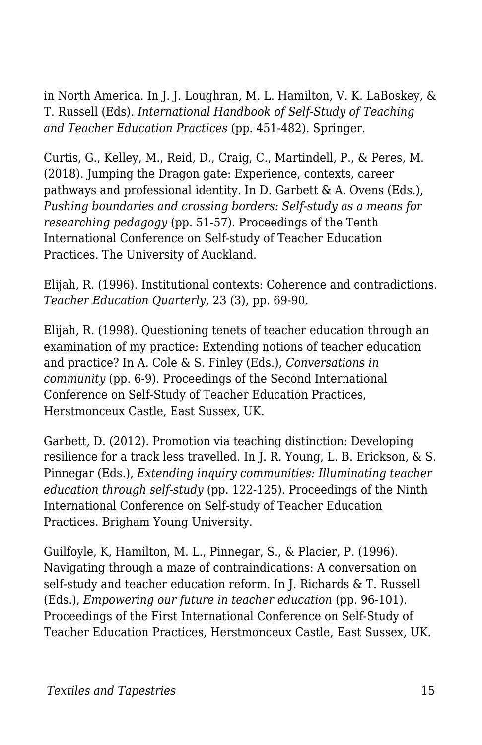in North America. In J. J. Loughran, M. L. Hamilton, V. K. LaBoskey, & T. Russell (Eds). *International Handbook of Self-Study of Teaching and Teacher Education Practices* (pp. 451-482). Springer.

Curtis, G., Kelley, M., Reid, D., Craig, C., Martindell, P., & Peres, M. (2018). Jumping the Dragon gate: Experience, contexts, career pathways and professional identity. In D. Garbett & A. Ovens (Eds.), *Pushing boundaries and crossing borders: Self-study as a means for researching pedagogy* (pp. 51-57). Proceedings of the Tenth International Conference on Self-study of Teacher Education Practices. The University of Auckland.

Elijah, R. (1996). Institutional contexts: Coherence and contradictions. *Teacher Education Quarterly*, 23 (3), pp. 69-90.

Elijah, R. (1998). Questioning tenets of teacher education through an examination of my practice: Extending notions of teacher education and practice? In A. Cole & S. Finley (Eds.), *Conversations in community* (pp. 6-9). Proceedings of the Second International Conference on Self-Study of Teacher Education Practices, Herstmonceux Castle, East Sussex, UK.

Garbett, D. (2012). Promotion via teaching distinction: Developing resilience for a track less travelled. In J. R. Young, L. B. Erickson, & S. Pinnegar (Eds.), *Extending inquiry communities: Illuminating teacher education through self-study* (pp. 122-125). Proceedings of the Ninth International Conference on Self-study of Teacher Education Practices. Brigham Young University.

Guilfoyle, K, Hamilton, M. L., Pinnegar, S., & Placier, P. (1996). Navigating through a maze of contraindications: A conversation on self-study and teacher education reform. In J. Richards & T. Russell (Eds.), *Empowering our future in teacher education* (pp. 96-101). Proceedings of the First International Conference on Self-Study of Teacher Education Practices, Herstmonceux Castle, East Sussex, UK.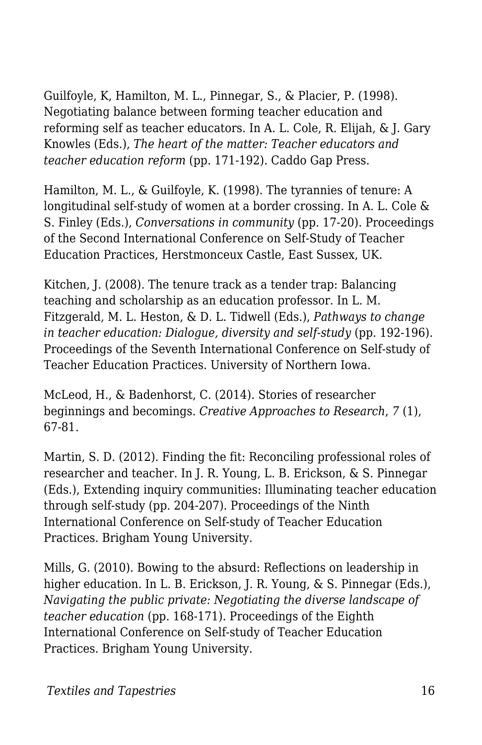Guilfoyle, K, Hamilton, M. L., Pinnegar, S., & Placier, P. (1998). Negotiating balance between forming teacher education and reforming self as teacher educators. In A. L. Cole, R. Elijah, & J. Gary Knowles (Eds.), *The heart of the matter: Teacher educators and teacher education reform* (pp. 171-192). Caddo Gap Press.

Hamilton, M. L., & Guilfoyle, K. (1998). The tyrannies of tenure: A longitudinal self-study of women at a border crossing. In A. L. Cole & S. Finley (Eds.), *Conversations in community* (pp. 17-20). Proceedings of the Second International Conference on Self-Study of Teacher Education Practices, Herstmonceux Castle, East Sussex, UK.

Kitchen, J. (2008). The tenure track as a tender trap: Balancing teaching and scholarship as an education professor. In L. M. Fitzgerald, M. L. Heston, & D. L. Tidwell (Eds.), *Pathways to change in teacher education: Dialogue, diversity and self-study* (pp. 192-196). Proceedings of the Seventh International Conference on Self-study of Teacher Education Practices. University of Northern Iowa.

McLeod, H., & Badenhorst, C. (2014). Stories of researcher beginnings and becomings. *Creative Approaches to Research*, *7* (1), 67-81.

Martin, S. D. (2012). Finding the fit: Reconciling professional roles of researcher and teacher. In J. R. Young, L. B. Erickson, & S. Pinnegar (Eds.), Extending inquiry communities: Illuminating teacher education through self-study (pp. 204-207). Proceedings of the Ninth International Conference on Self-study of Teacher Education Practices. Brigham Young University.

Mills, G. (2010). Bowing to the absurd: Reflections on leadership in higher education. In L. B. Erickson, J. R. Young, & S. Pinnegar (Eds.), *Navigating the public private: Negotiating the diverse landscape of teacher education* (pp. 168-171). Proceedings of the Eighth International Conference on Self-study of Teacher Education Practices. Brigham Young University.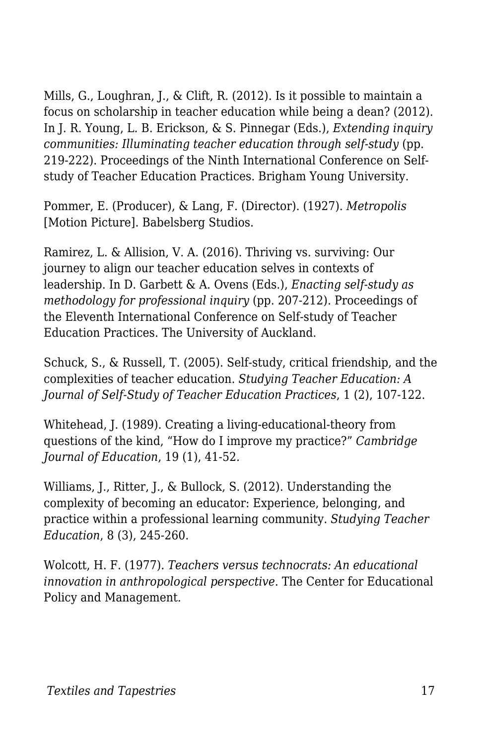Mills, G., Loughran, J., & Clift, R. (2012). Is it possible to maintain a focus on scholarship in teacher education while being a dean? (2012). In J. R. Young, L. B. Erickson, & S. Pinnegar (Eds.), *Extending inquiry communities: Illuminating teacher education through self-study* (pp. 219-222). Proceedings of the Ninth International Conference on Selfstudy of Teacher Education Practices. Brigham Young University.

Pommer, E. (Producer), & Lang, F. (Director). (1927). *Metropolis* [Motion Picture]. Babelsberg Studios.

Ramirez, L. & Allision, V. A. (2016). Thriving vs. surviving: Our journey to align our teacher education selves in contexts of leadership. In D. Garbett & A. Ovens (Eds.), *Enacting self-study as methodology for professional inquiry* (pp. 207-212). Proceedings of the Eleventh International Conference on Self-study of Teacher Education Practices. The University of Auckland.

Schuck, S., & Russell, T. (2005). Self-study, critical friendship, and the complexities of teacher education. *Studying Teacher Education: A Journal of Self-Study of Teacher Education Practices*, 1 (2), 107-122.

Whitehead, J. (1989). Creating a living-educational-theory from questions of the kind, "How do I improve my practice?" *Cambridge Journal of Education*, 19 (1), 41-52.

Williams, J., Ritter, J., & Bullock, S. (2012). Understanding the complexity of becoming an educator: Experience, belonging, and practice within a professional learning community. *Studying Teacher Education*, 8 (3), 245-260.

Wolcott, H. F. (1977). *Teachers versus technocrats: An educational innovation in anthropological perspective*. The Center for Educational Policy and Management.